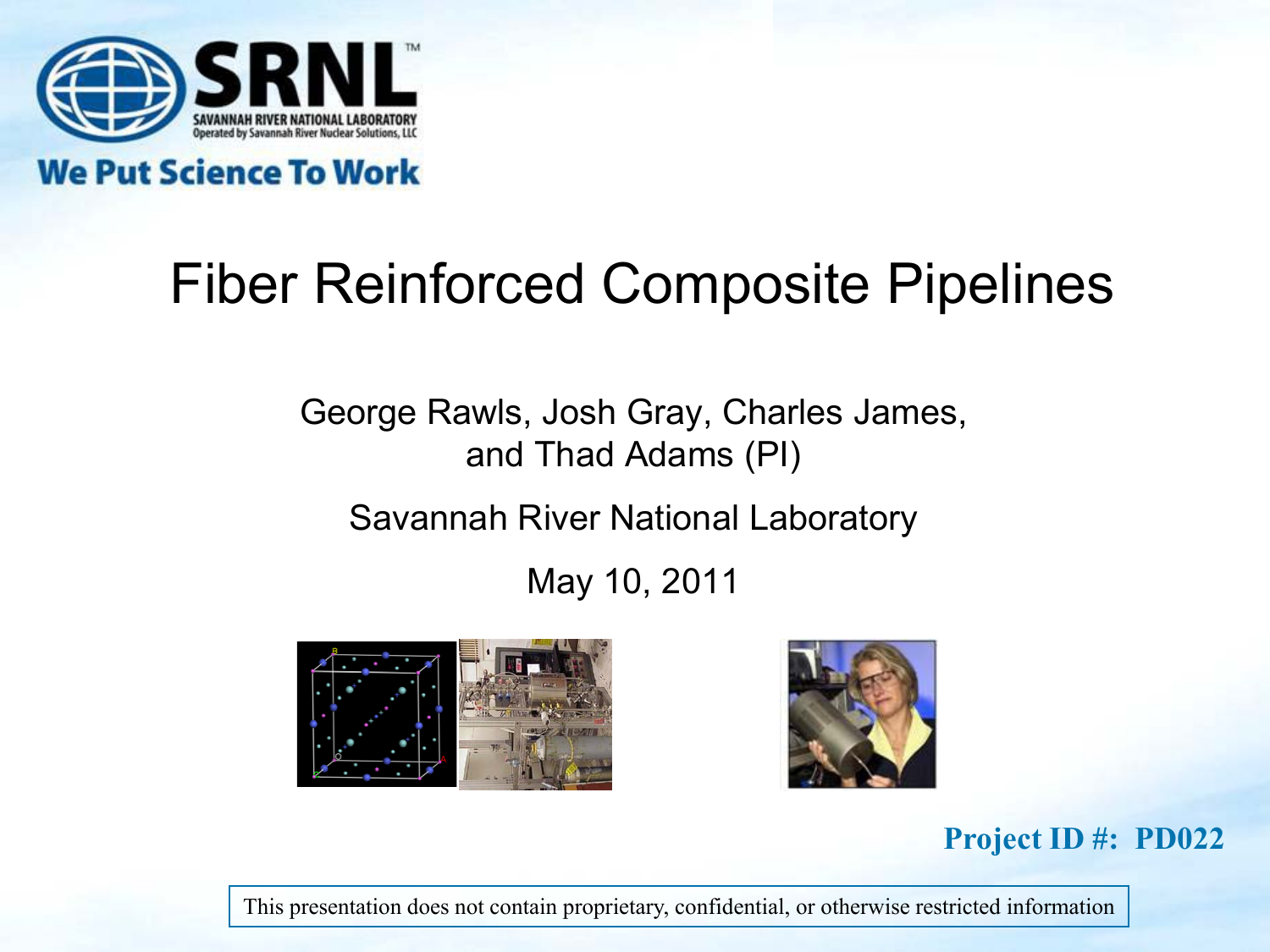

**We Put Science To Work** 

# Fiber Reinforced Composite Pipelines

George Rawls, Josh Gray, Charles James, and Thad Adams (PI)

Savannah River National Laboratory

May 10, 2011





#### **Project ID #: PD022**

This presentation does not contain proprietary, confidential, or otherwise restricted information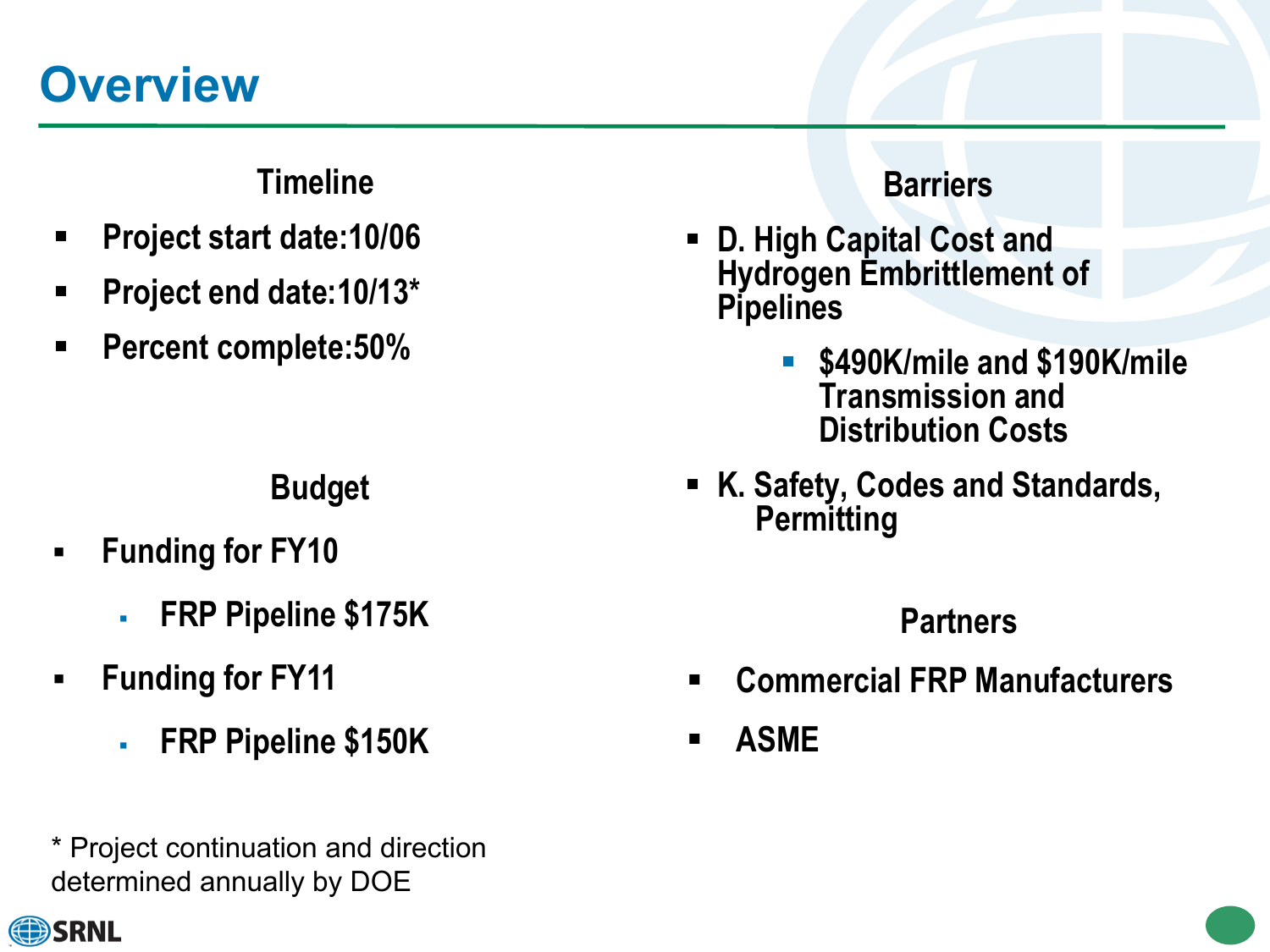## **Overview**

### **Timeline**

- **Project start date:10/06**
- **Project end date:10/13\***
- **Percent complete:50%**

- **Funding for FY10** 
	- **FRP Pipeline \$175K**
- **Funding for FY11** 
	- **FRP Pipeline \$150K**
- \* Project continuation and direction determined annually by DOE

#### **Barriers**

- **D. High Capital Cost and Hydrogen Embrittlement of Pipelines**
	- **\$490K/mile and \$190K/mile Transmission and Distribution Costs**
- **K. Safety, Codes and Standards, Permitting Budget**

### **Partners**

- **Commercial FRP Manufacturers**
- **ASME**

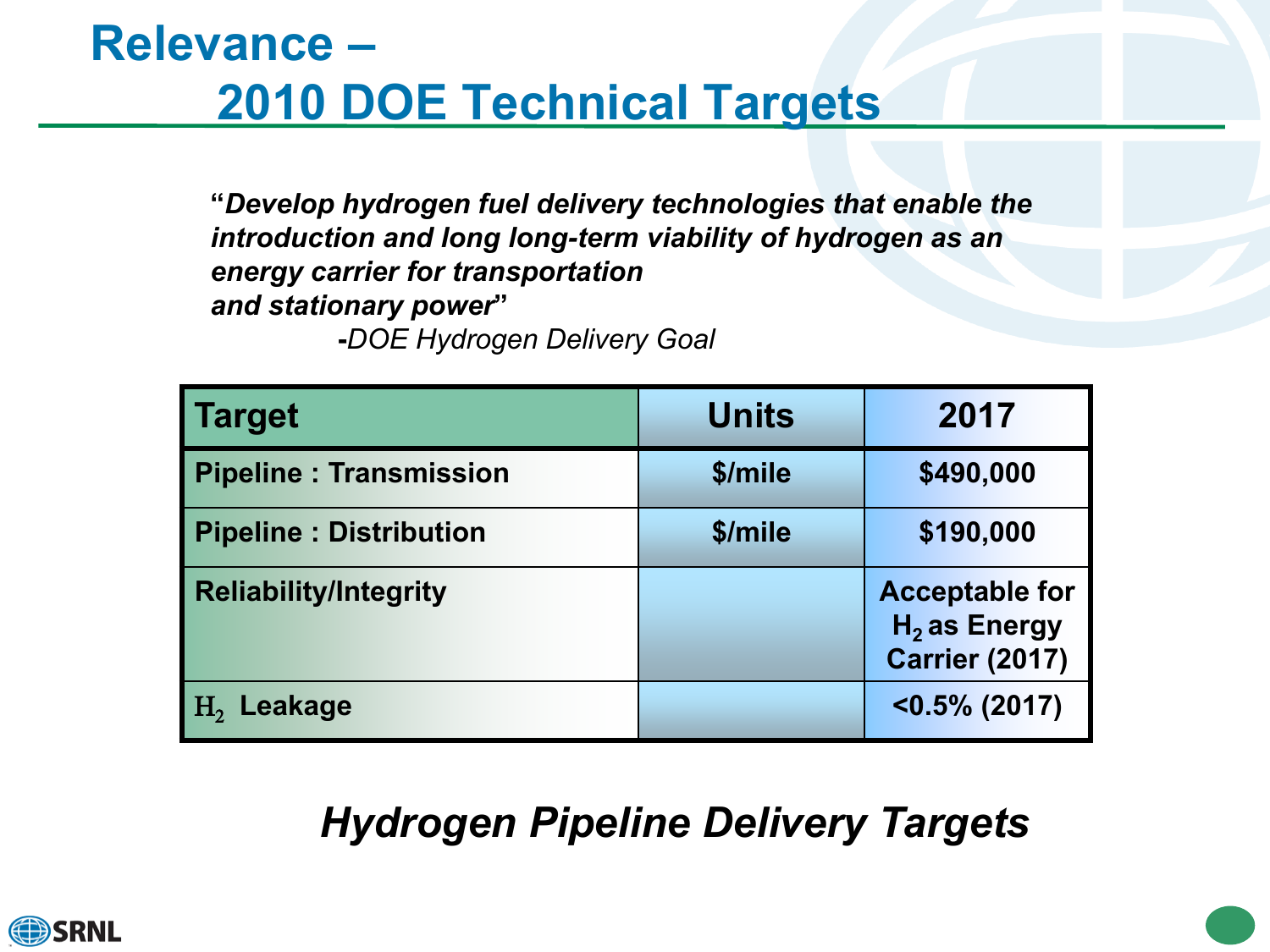### **Relevance – 2010 DOE Technical Targets**

**"***Develop hydrogen fuel delivery technologies that enable the introduction and long long-term viability of hydrogen as an energy carrier for transportation and stationary power***"**

**-***DOE Hydrogen Delivery Goal*

| <b>Target</b>                 | <b>Units</b> | 2017                                                             |
|-------------------------------|--------------|------------------------------------------------------------------|
| <b>Pipeline: Transmission</b> | \$/mile      | \$490,000                                                        |
| <b>Pipeline: Distribution</b> | \$/mile      | \$190,000                                                        |
| <b>Reliability/Integrity</b>  |              | <b>Acceptable for</b><br>$H2$ as Energy<br><b>Carrier (2017)</b> |
| H <sub>2</sub> Leakage        |              | $< 0.5\%$ (2017)                                                 |

### *Hydrogen Pipeline Delivery Targets*

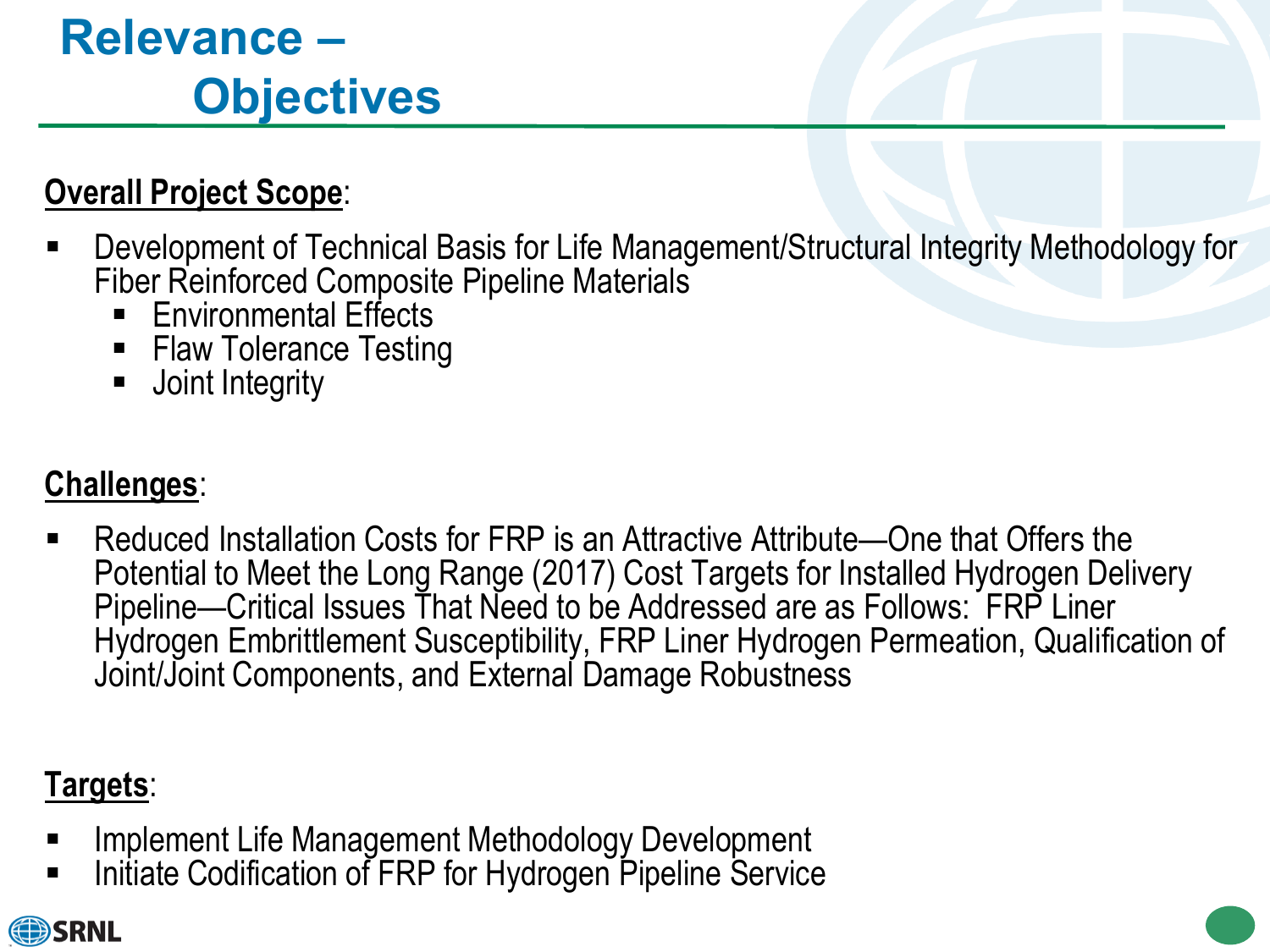# **Relevance – Objectives**

### **Overall Project Scope**:

- Development of Technical Basis for Life Management/Structural Integrity Methodology for Fiber Reinforced Composite Pipeline Materials
	- Environmental Effects
	- **Flaw Tolerance Testing**
	- **Joint Integrity**

### **Challenges**:

 Reduced Installation Costs for FRP is an Attractive Attribute—One that Offers the Potential to Meet the Long Range (2017) Cost Targets for Installed Hydrogen Delivery Pipeline—Critical Issues That Need to be Addressed are as Follows: FRP Liner Hydrogen Embrittlement Susceptibility, FRP Liner Hydrogen Permeation, Qualification of Joint/Joint Components, and External Damage Robustness

### **Targets**:

- Implement Life Management Methodology Development
- Initiate Codification of FRP for Hydrogen Pipeline Service

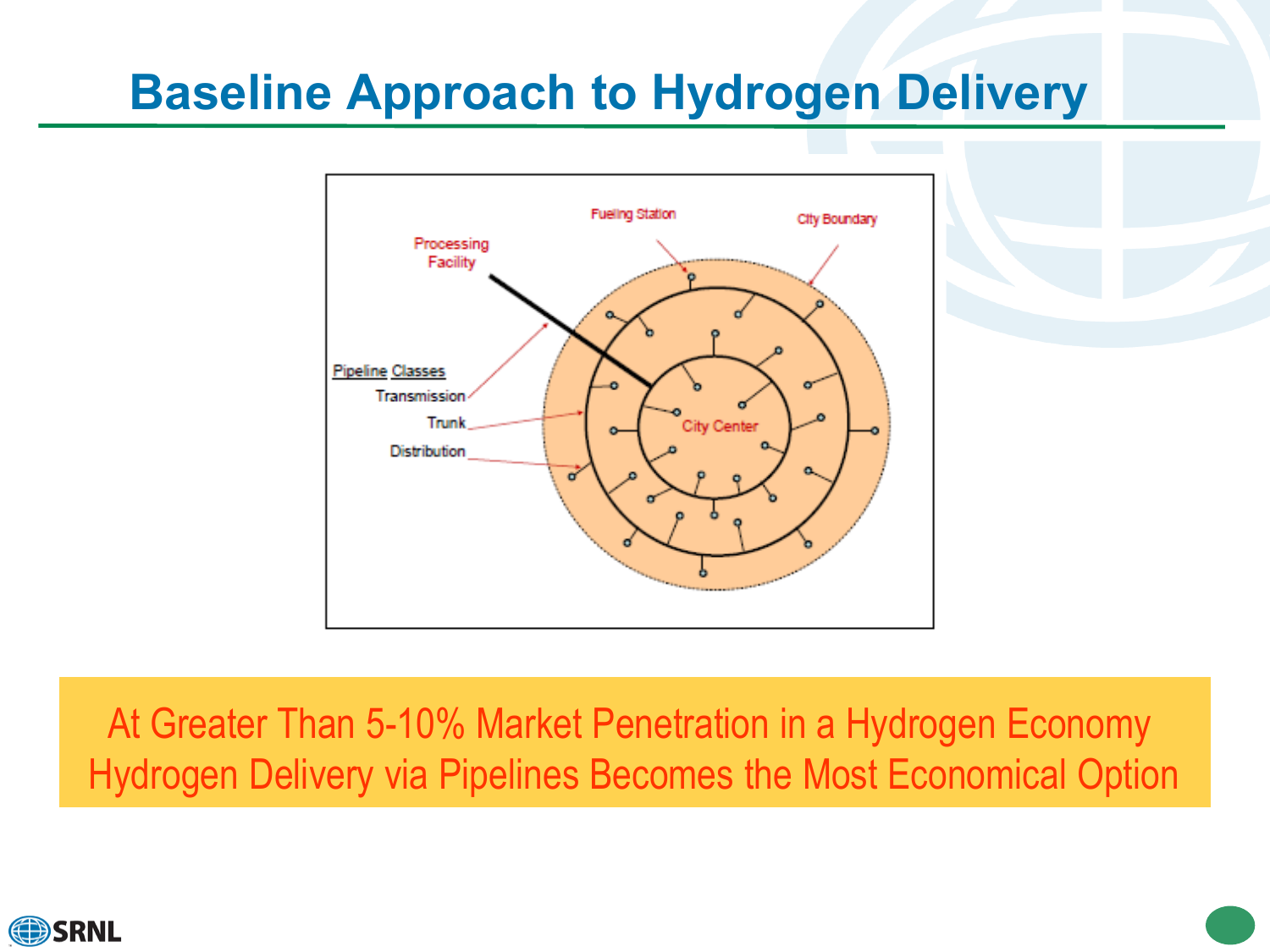### **Baseline Approach to Hydrogen Delivery**



At Greater Than 5-10% Market Penetration in a Hydrogen Economy Hydrogen Delivery via Pipelines Becomes the Most Economical Option

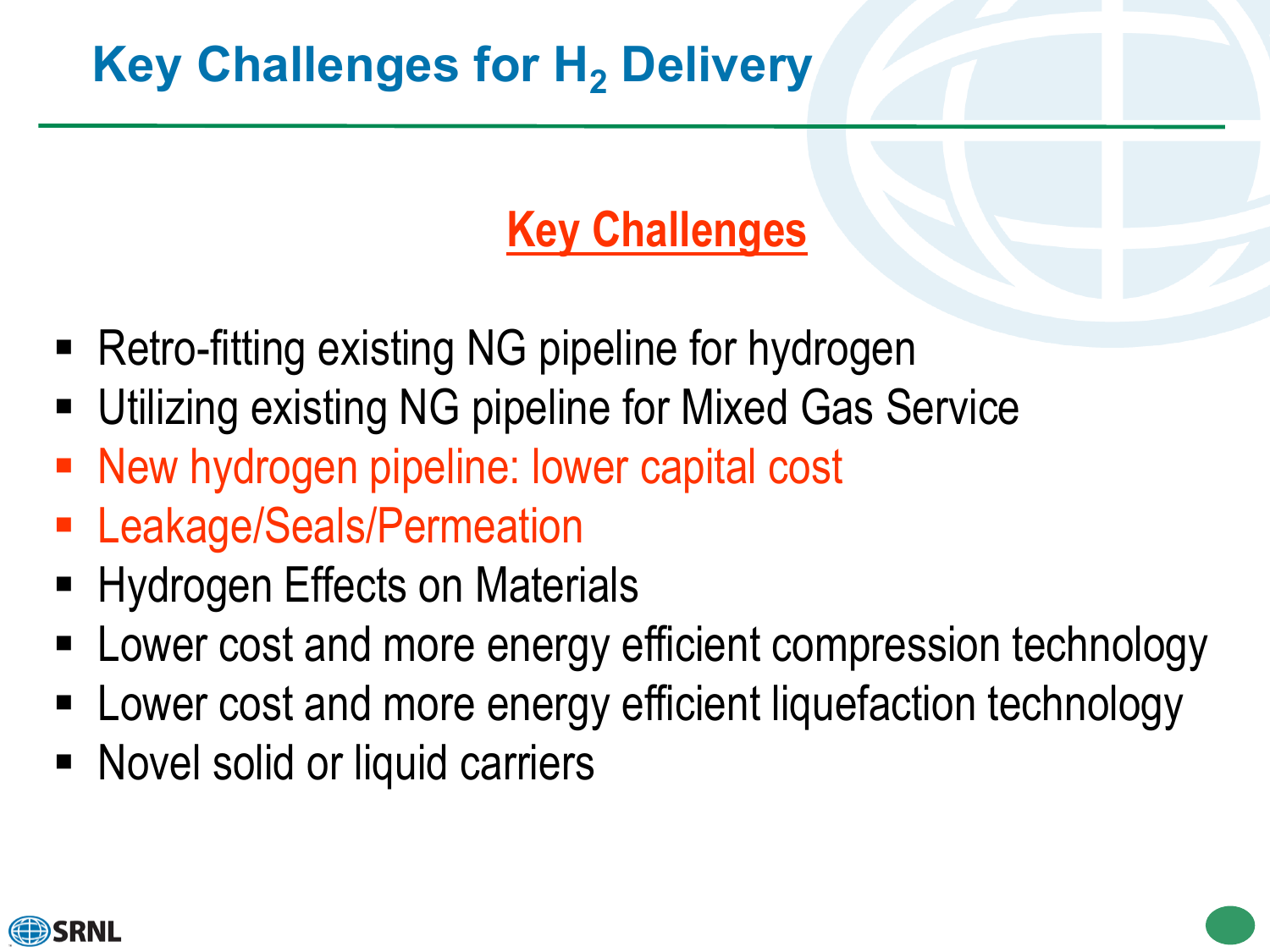# **Key Challenges for H<sub>2</sub> Delivery**

### **Key Challenges**

- Retro-fitting existing NG pipeline for hydrogen
- Utilizing existing NG pipeline for Mixed Gas Service
- **New hydrogen pipeline: lower capital cost**
- **Eakage/Seals/Permeation**
- **Hydrogen Effects on Materials**
- Lower cost and more energy efficient compression technology
- Lower cost and more energy efficient liquefaction technology
- Novel solid or liquid carriers

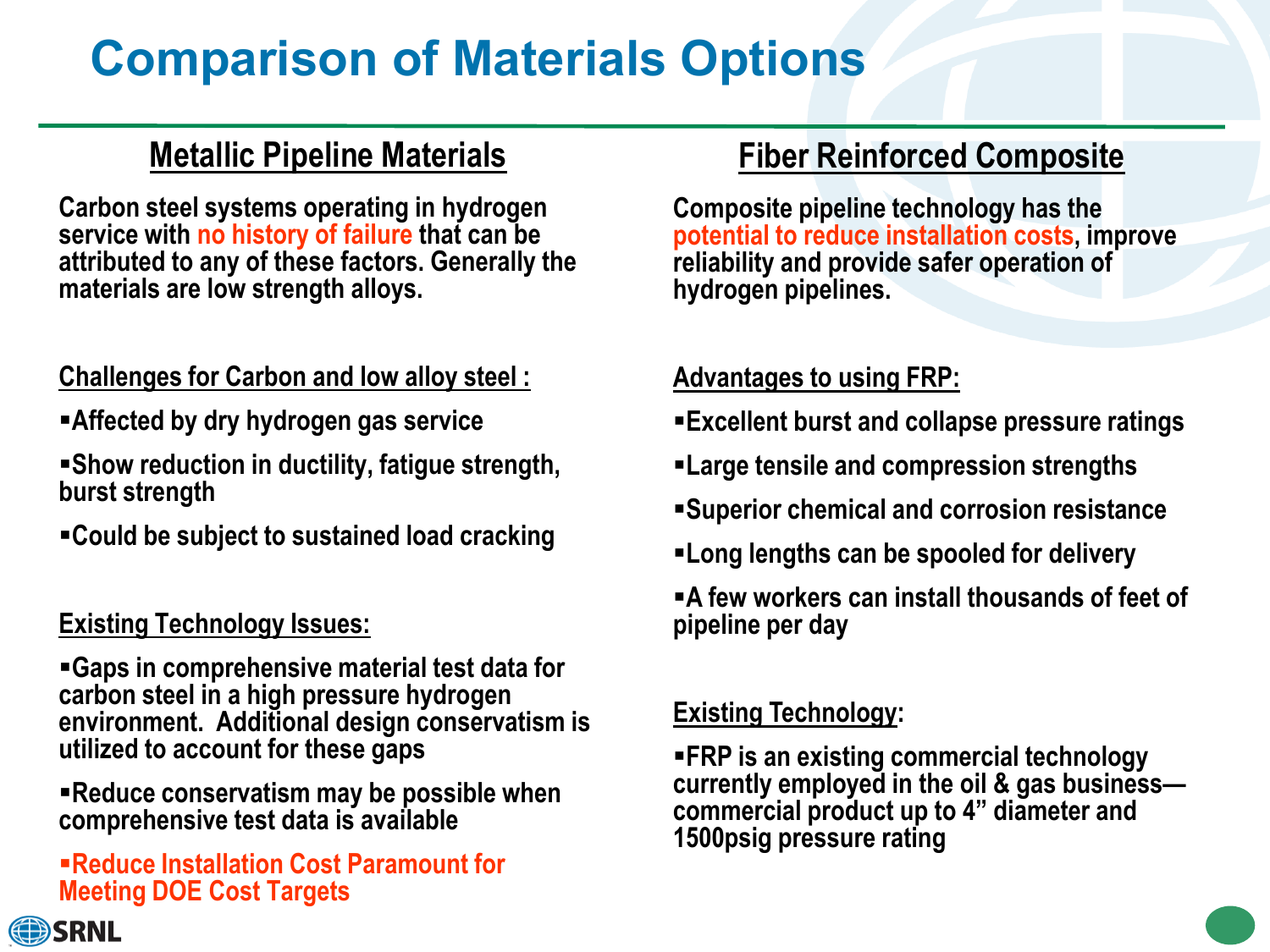# **Comparison of Materials Options**

### **Metallic Pipeline Materials**

**Carbon steel systems operating in hydrogen service with no history of failure that can be attributed to any of these factors. Generally the materials are low strength alloys.** 

#### **Challenges for Carbon and low alloy steel :**

- **Affected by dry hydrogen gas service**
- **Show reduction in ductility, fatigue strength, burst strength**
- **Could be subject to sustained load cracking**

#### **Existing Technology Issues:**

**Gaps in comprehensive material test data for carbon steel in a high pressure hydrogen environment. Additional design conservatism is utilized to account for these gaps**

**Reduce conservatism may be possible when comprehensive test data is available**

#### **Reduce Installation Cost Paramount for Meeting DOE Cost Targets**

### **Fiber Reinforced Composite**

**Composite pipeline technology has the potential to reduce installation costs, improve reliability and provide safer operation of hydrogen pipelines.**

#### **Advantages to using FRP:**

- **Excellent burst and collapse pressure ratings**
- **Large tensile and compression strengths**
- **Superior chemical and corrosion resistance**
- **Long lengths can be spooled for delivery**
- **A few workers can install thousands of feet of pipeline per day**

#### **Existing Technology:**

**FRP is an existing commercial technology currently employed in the oil & gas business— commercial product up to 4" diameter and 1500psig pressure rating**

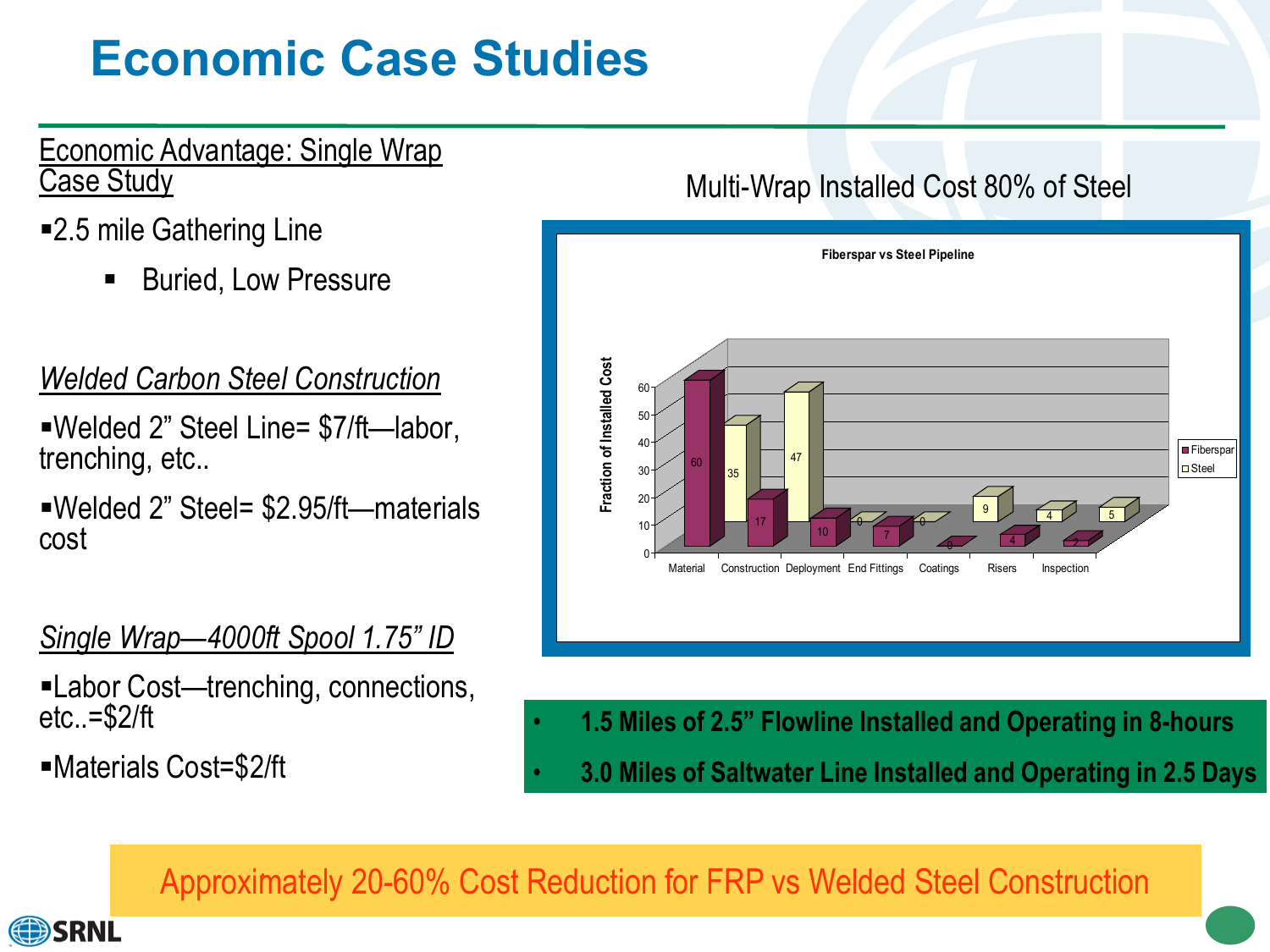# **Economic Case Studies**

#### Economic Advantage: Single Wrap Case Study

- ■2.5 mile Gathering Line
	- Buried, Low Pressure

### *Welded Carbon Steel Construction*

Welded 2" Steel Line= \$7/ft—labor, trenching, etc..

Welded 2" Steel= \$2.95/ft—materials cost

### *Single Wrap—4000ft Spool 1.75" ID*

- Labor Cost—trenching, connections, etc..=\$2/ft
- Materials Cost=\$2/ft

### Multi-Wrap Installed Cost 80% of Steel



- **1.5 Miles of 2.5" Flowline Installed and Operating in 8-hours**
- **3.0 Miles of Saltwater Line Installed and Operating in 2.5 Days**

Approximately 20-60% Cost Reduction for FRP vs Welded Steel Construction .

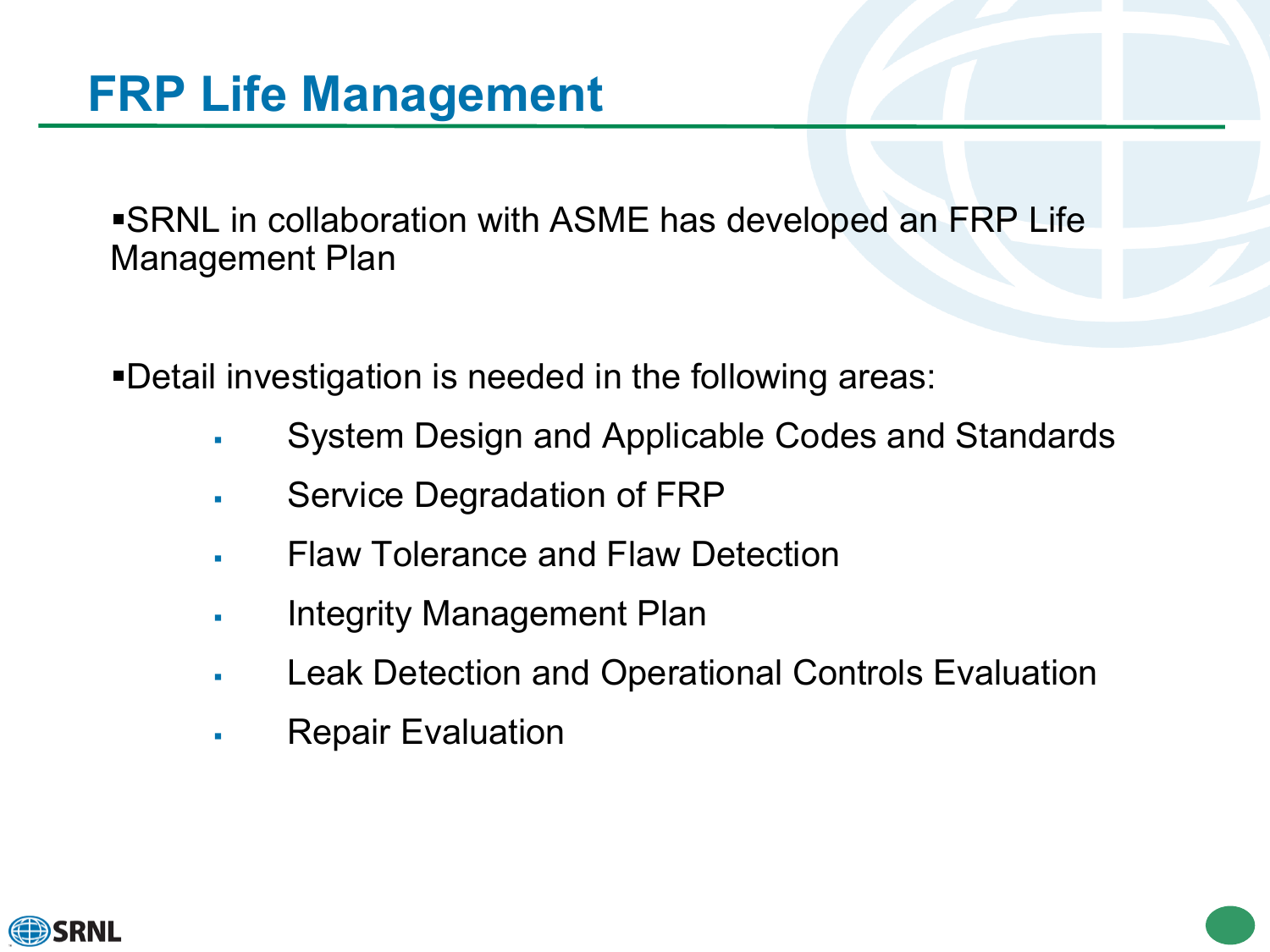SRNL in collaboration with ASME has developed an FRP Life Management Plan

Detail investigation is needed in the following areas:

- System Design and Applicable Codes and Standards
- Service Degradation of FRP
- Flaw Tolerance and Flaw Detection
- Integrity Management Plan
- Leak Detection and Operational Controls Evaluation
- Repair Evaluation

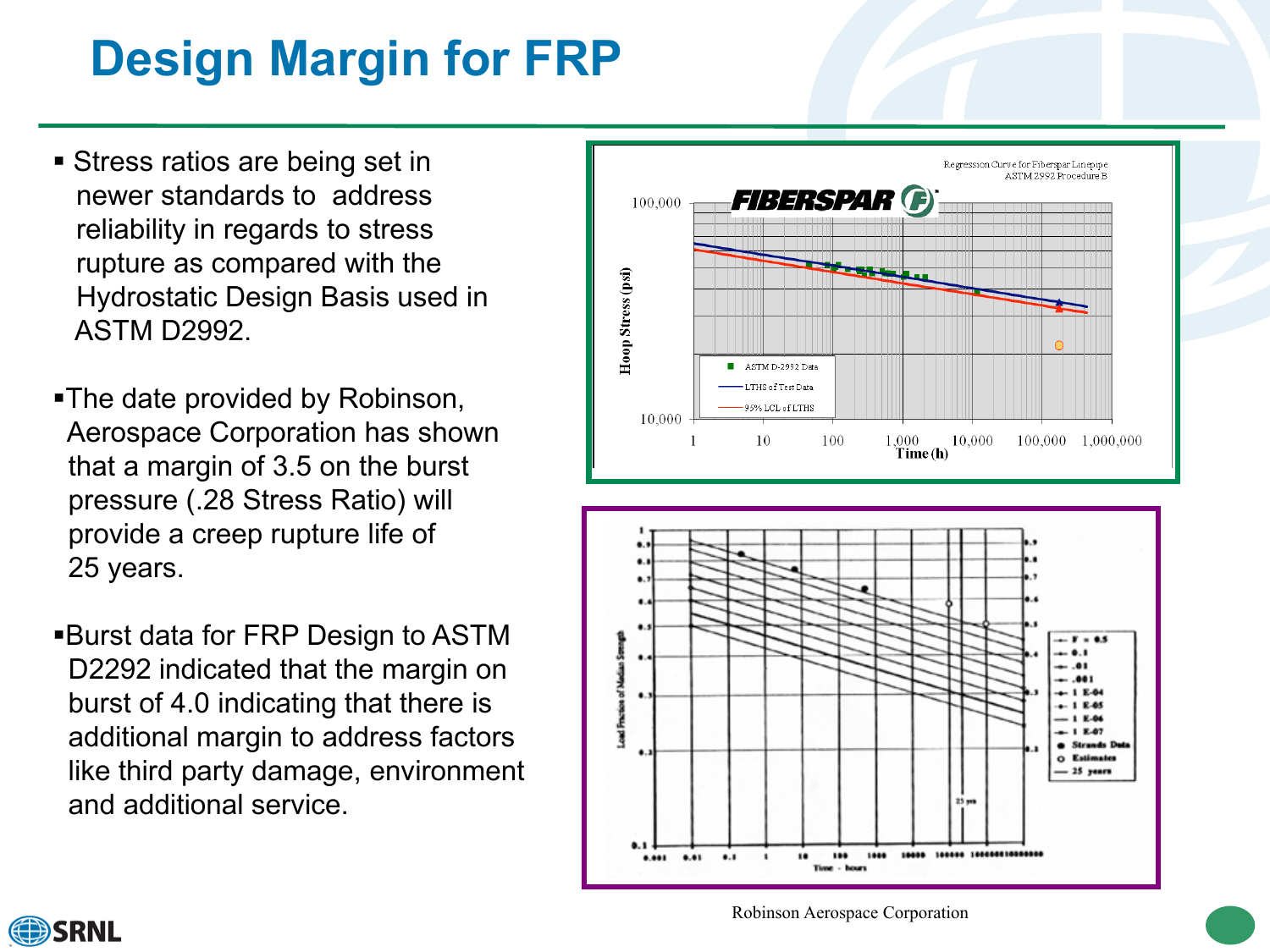# **Design Margin for FRP**

- Stress ratios are being set in newer standards to address reliability in regards to stress rupture as compared with the Hydrostatic Design Basis used in ASTM D2992.
- The date provided by Robinson, Aerospace Corporation has shown that a margin of 3.5 on the burst pressure (.28 Stress Ratio) will provide a creep rupture life of 25 years.
- Burst data for FRP Design to ASTM D2292 indicated that the margin on burst of 4.0 indicating that there is additional margin to address factors like third party damage, environment and additional service.





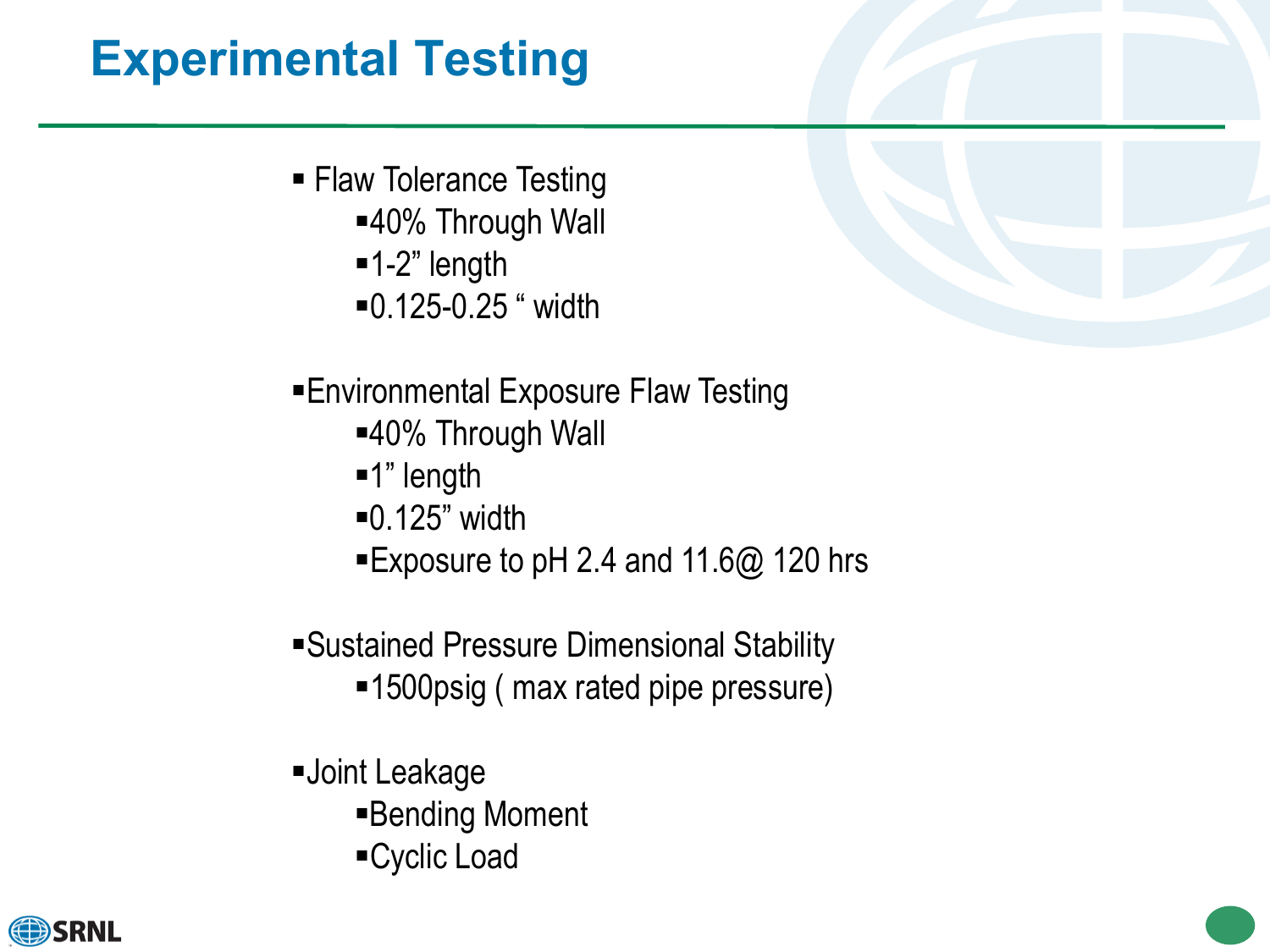# **Experimental Testing**

- **Flaw Tolerance Testing** 
	- ■40% Through Wall
	- $-1-2$ " length
	- 0.125-0.25 " width

### Environmental Exposure Flaw Testing

- ■40% Through Wall
- ■1" length
- 0.125" width
- ■Exposure to pH 2.4 and 11.6@ 120 hrs
- Sustained Pressure Dimensional Stability
	- ■1500psig ( max rated pipe pressure)
- Joint Leakage
	- Bending Moment
	- Cyclic Load

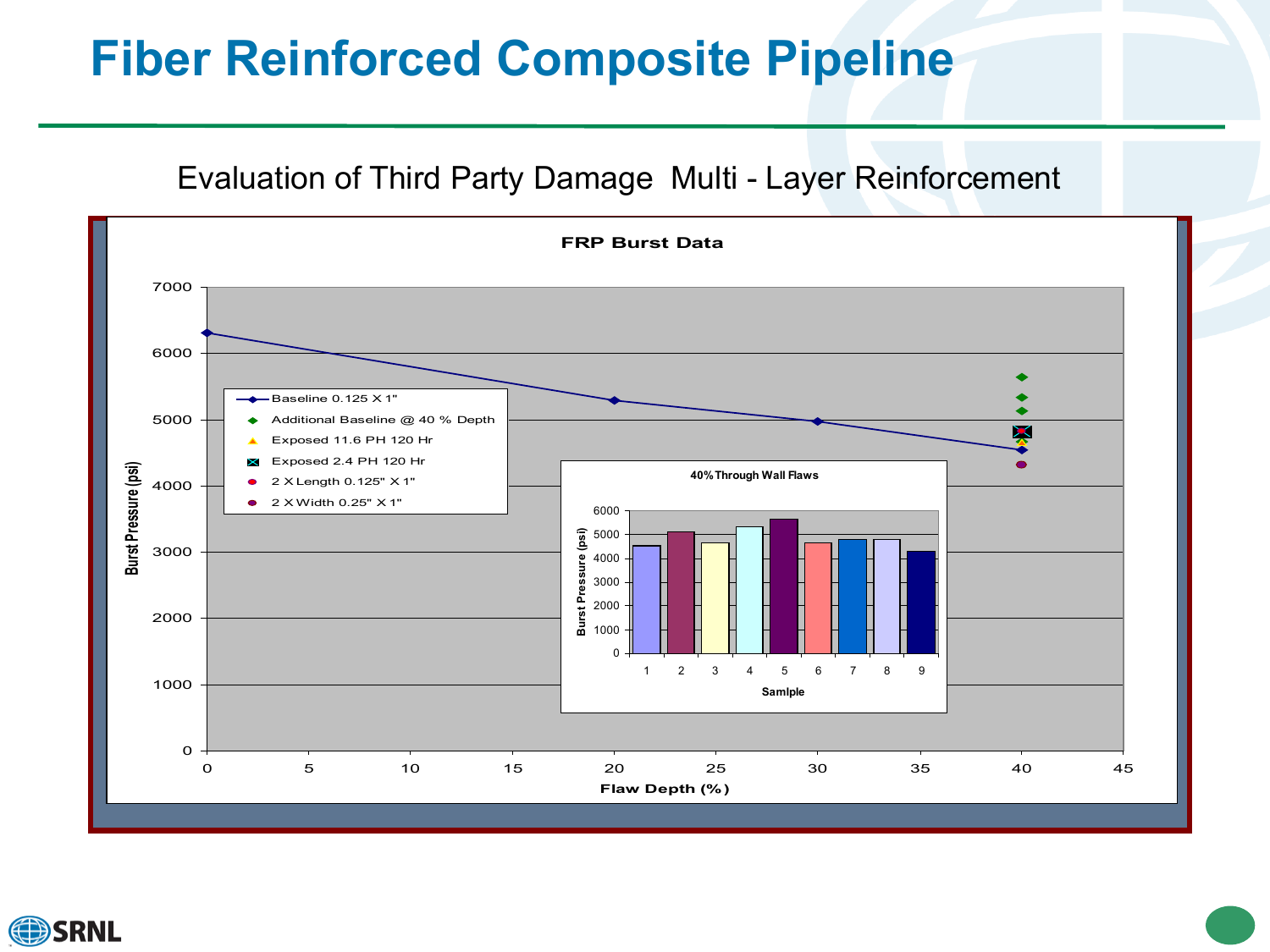### **Fiber Reinforced Composite Pipeline**

Evaluation of Third Party Damage Multi - Layer Reinforcement



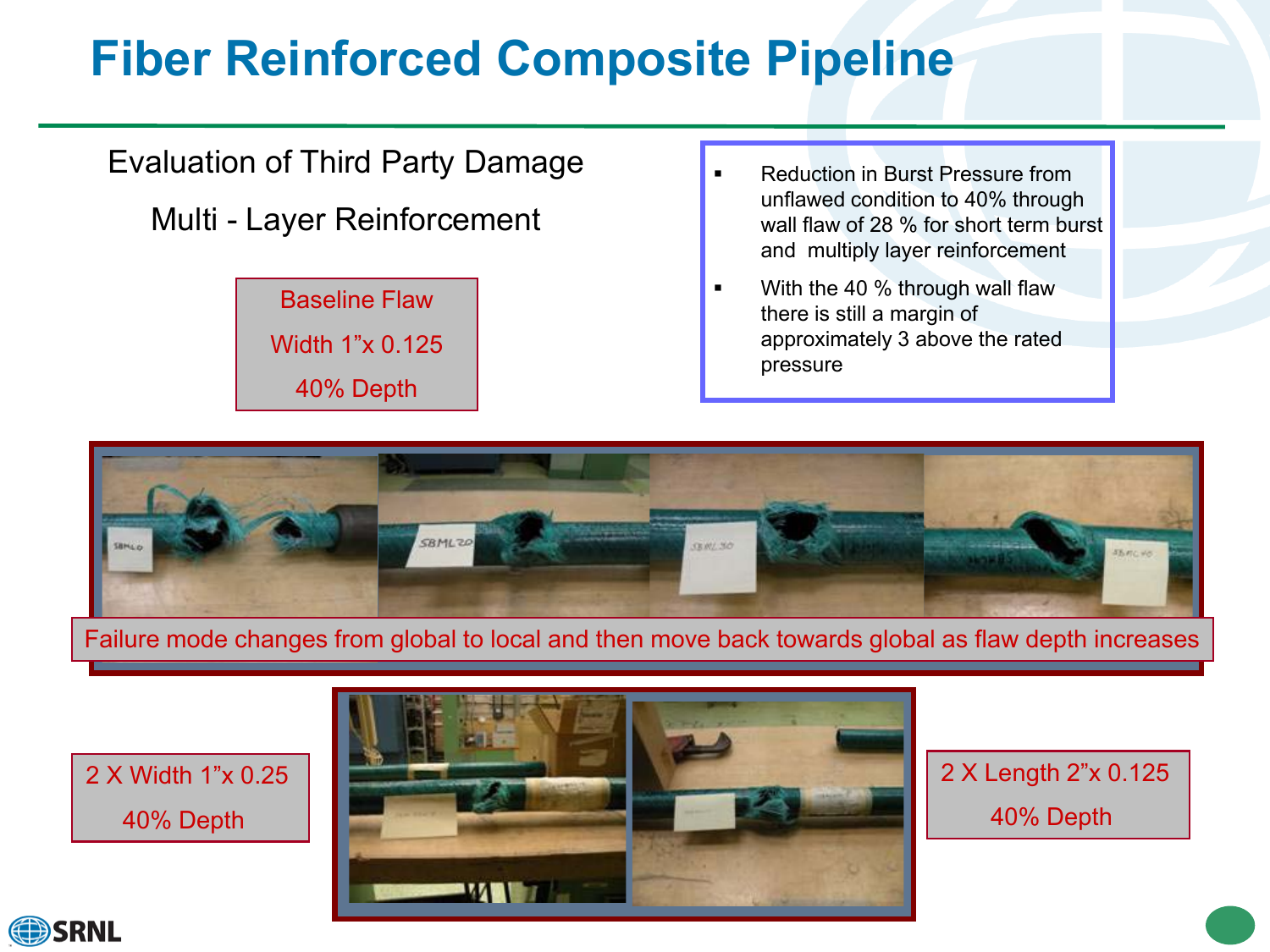# **Fiber Reinforced Composite Pipeline**

### Evaluation of Third Party Damage

Multi - Layer Reinforcement



- Reduction in Burst Pressure from unflawed condition to 40% through wall flaw of 28 % for short term burst and multiply layer reinforcement
- With the 40 % through wall flaw there is still a margin of approximately 3 above the rated pressure



#### Failure mode changes from global to local and then move back towards global as flaw depth increases

2 X Width 1"x 0.25 40% Depth



2 X Length 2"x 0.125 40% Depth

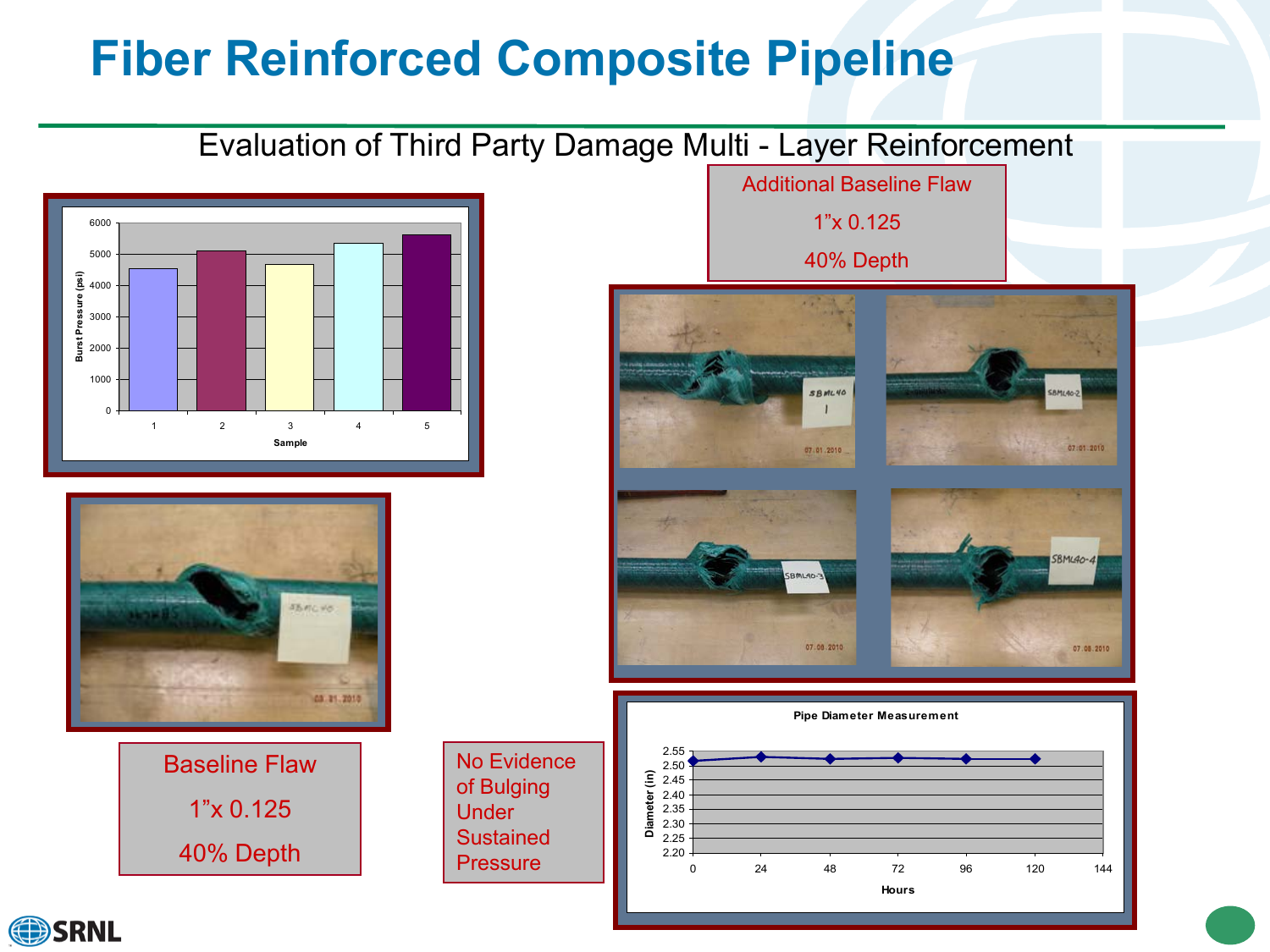# **Fiber Reinforced Composite Pipeline**

#### Evaluation of Third Party Damage Multi - Layer Reinforcement





Baseline Flaw 1"x 0.125 40% Depth

No Evidence of Bulging **Under** Sustained **Pressure** 

Additional Baseline Flaw 1"x 0.125 40% Depth SBML40 07:01-2010 07.01.2010  $BMu40-$ 07.08.2010 07.08.2010 **Pipe Diameter Measurement**  2.55<br>2.50 2.45 2.50 **Diameter (in)** 2.35 2.40 2.25 2.30 2.20 0 24 48 72 96 120 144

**Hours**

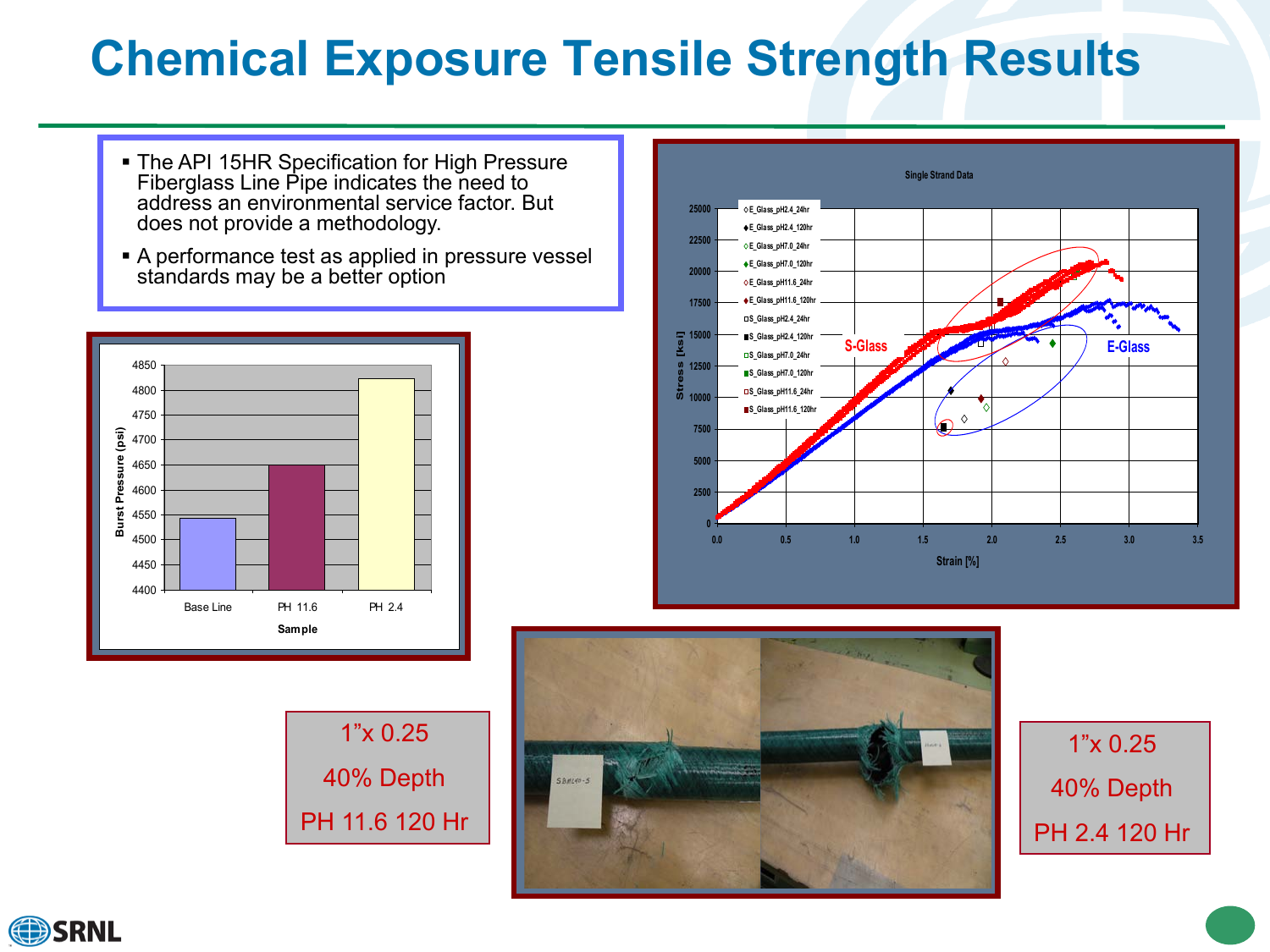# **Chemical Exposure Tensile Strength Results**

- **The API 15HR Specification for High Pressure** Fiberglass Line Pipe indicates the need to address an environmental service factor. But does not provide a methodology.
- A performance test as applied in pressure vessel standards may be a better option



1"x 0.25 40% Depth PH 11.6 120 Hr





1"x 0.25 40% Depth PH 2.4 120 Hr



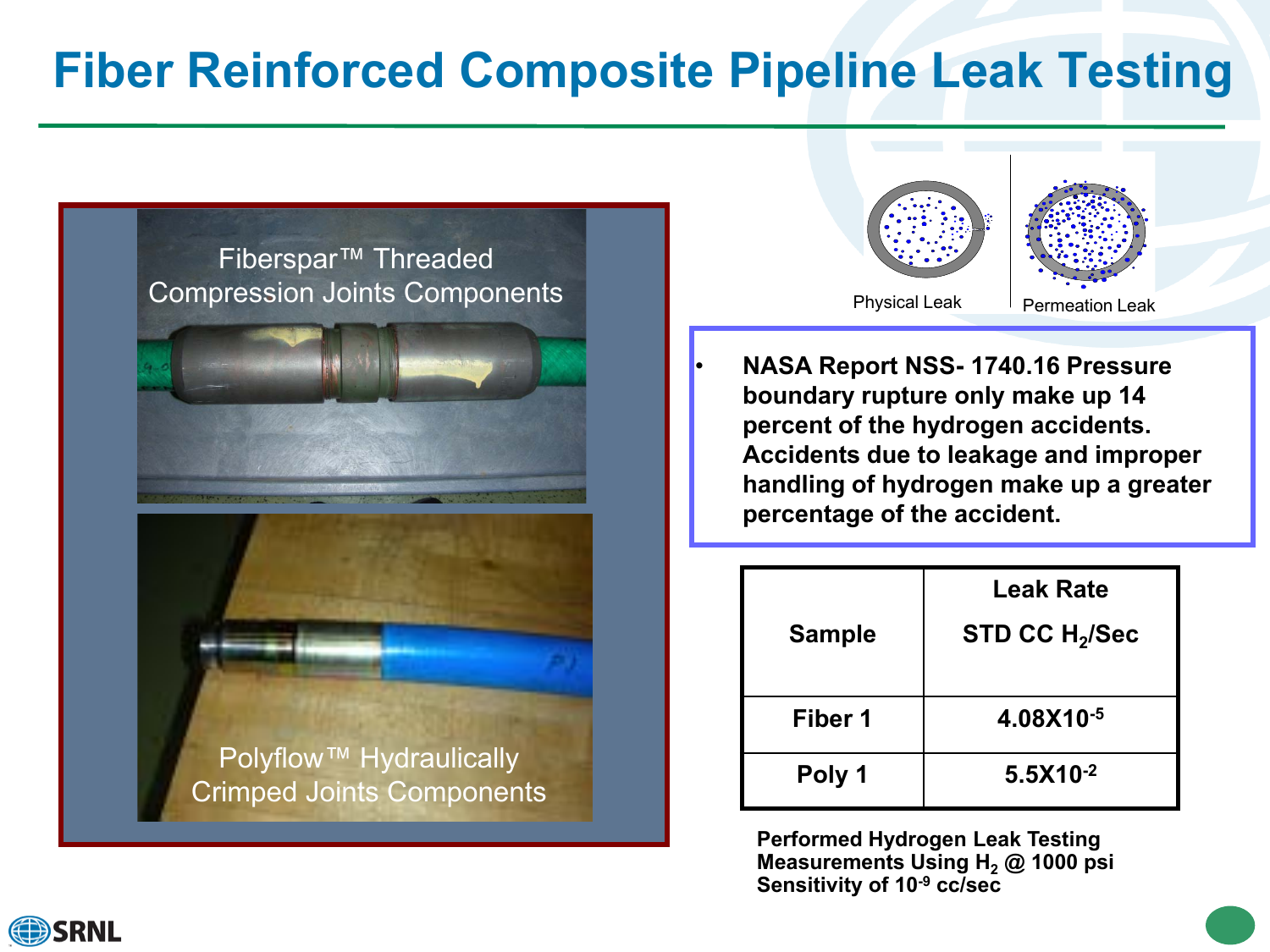### **Fiber Reinforced Composite Pipeline Leak Testing**





• **NASA Report NSS- 1740.16 Pressure boundary rupture only make up 14 percent of the hydrogen accidents. Accidents due to leakage and improper handling of hydrogen make up a greater percentage of the accident.** 

| <b>Sample</b> | <b>Leak Rate</b><br>STD CC H <sub>2</sub> /Sec |
|---------------|------------------------------------------------|
| Fiber 1       | 4.08X10-5                                      |
| Poly 1        | $5.5X10^{-2}$                                  |

**Performed Hydrogen Leak Testing Measurements Using H<sub>2</sub> @ 1000 psi Sensitivity of 10-9 cc/sec**

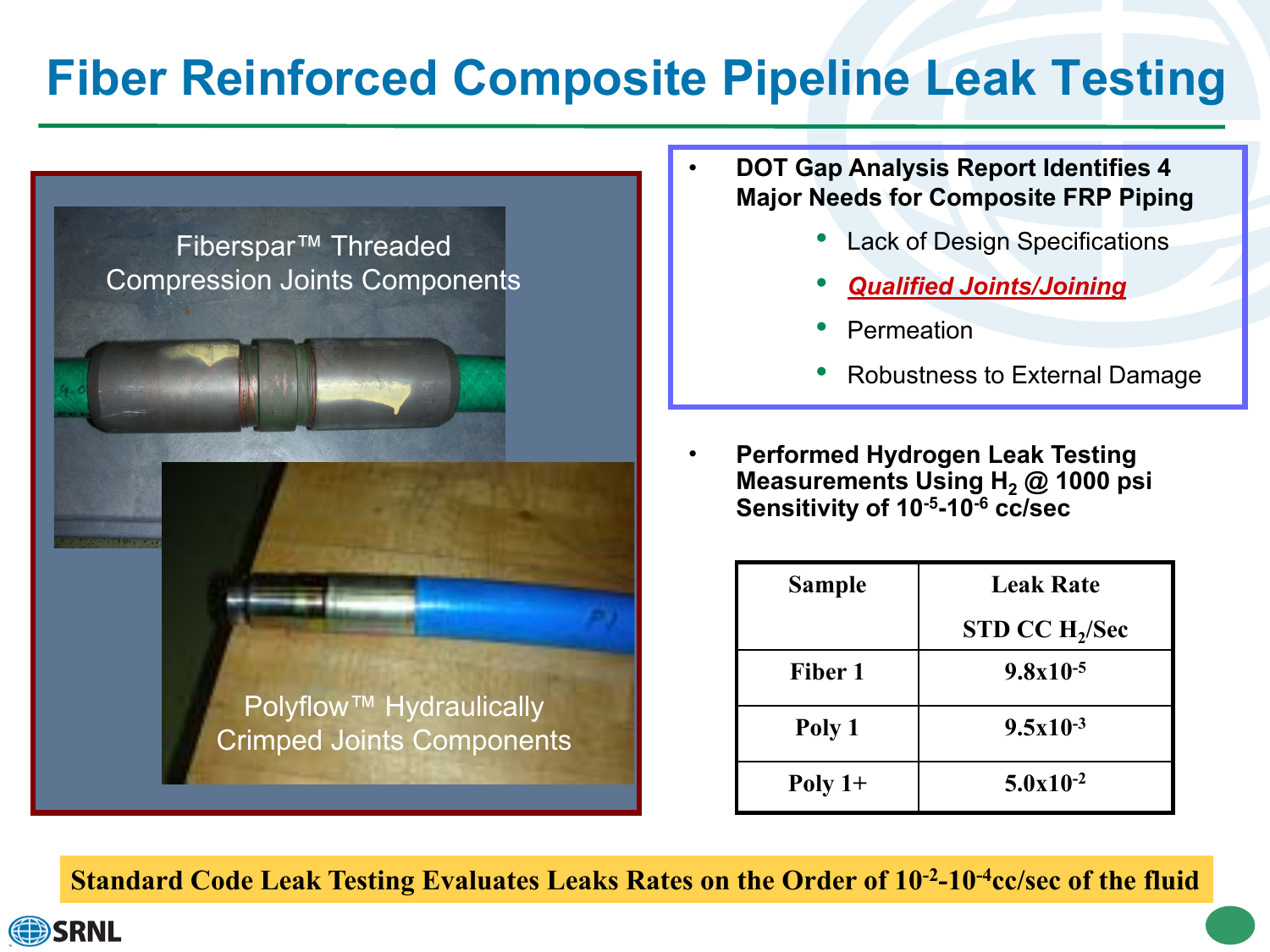# **Fiber Reinforced Composite Pipeline Leak Testing**



- **DOT Gap Analysis Report Identifies 4 Major Needs for Composite FRP Piping**
	- Lack of Design Specifications
	- *Qualified Joints/Joining*
	- **Permeation**
	- Robustness to External Damage
- **Performed Hydrogen Leak Testing Measurements Using H<sub>2</sub> @ 1000 psi Sensitivity of 10-5-10-6 cc/sec**

| <b>Sample</b> | <b>Leak Rate</b>           |  |
|---------------|----------------------------|--|
|               | STD CC H <sub>2</sub> /Sec |  |
| Fiber 1       | $9.8x10^{-5}$              |  |
| Poly 1        | $9.5x10^{-3}$              |  |
| Poly $1+$     | $5.0x10^{-2}$              |  |

**Standard Code Leak Testing Evaluates Leaks Rates on the Order of 10-2-10-4cc/sec of the fluid**

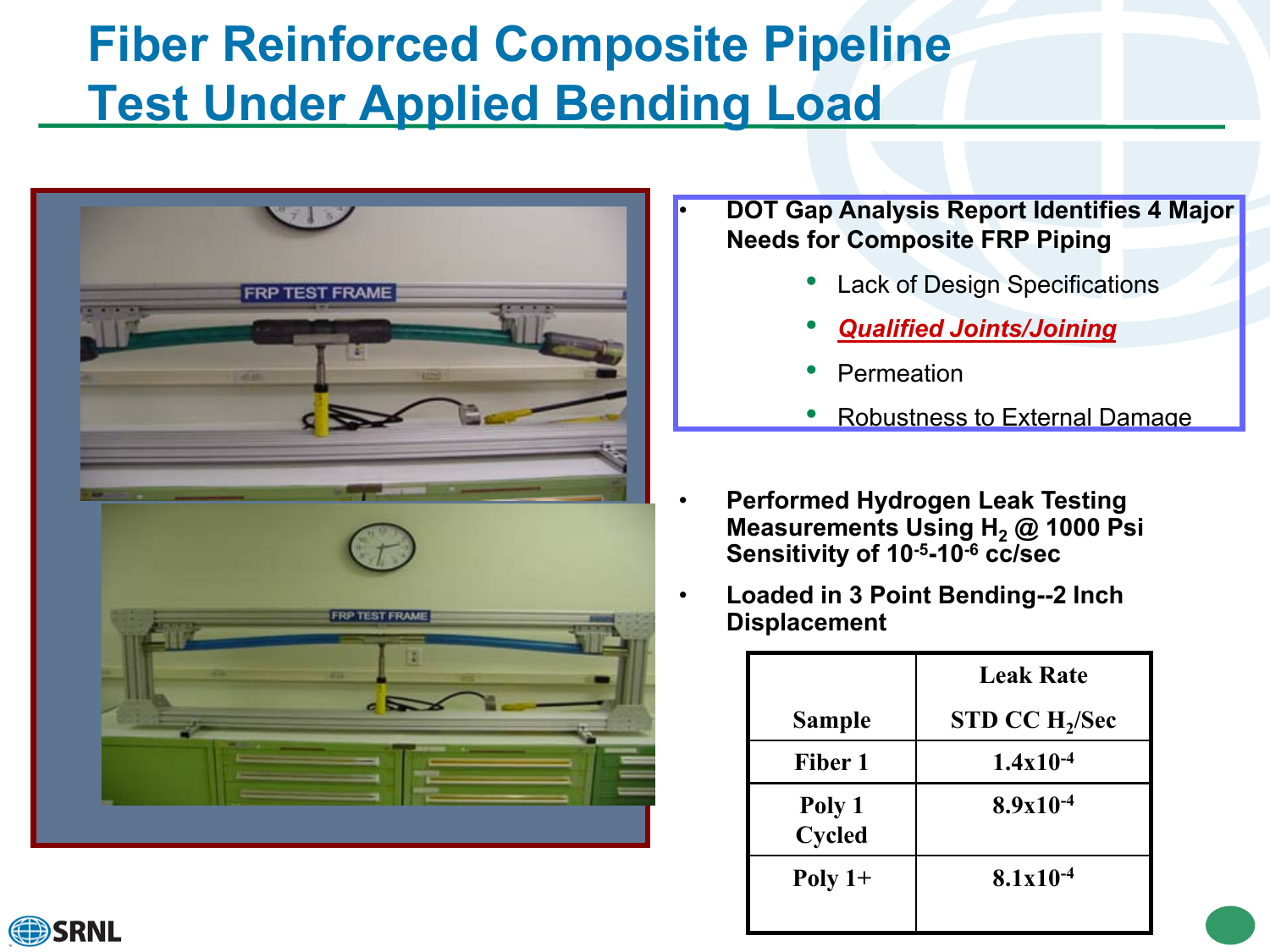# **Fiber Reinforced Composite Pipeline Test Under Applied Bending Load**



#### • **DOT Gap Analysis Report Identifies 4 Major Needs for Composite FRP Piping**

- Lack of Design Specifications
- *Qualified Joints/Joining*
- **Permeation**
- Robustness to External Damage
- **Performed Hydrogen Leak Testing Measurements Using H<sub>2</sub> @ 1000 Psi Sensitivity of 10-5-10-6 cc/sec**
- **Loaded in 3 Point Bending--2 Inch Displacement**

|                         | <b>Leak Rate</b>           |
|-------------------------|----------------------------|
| <b>Sample</b>           | STD CC H <sub>2</sub> /Sec |
| Fiber 1                 | $1.4x10^{-4}$              |
| Poly 1<br><b>Cycled</b> | $8.9x10^{-4}$              |
| Poly $1+$               | $8.1x10^{-4}$              |

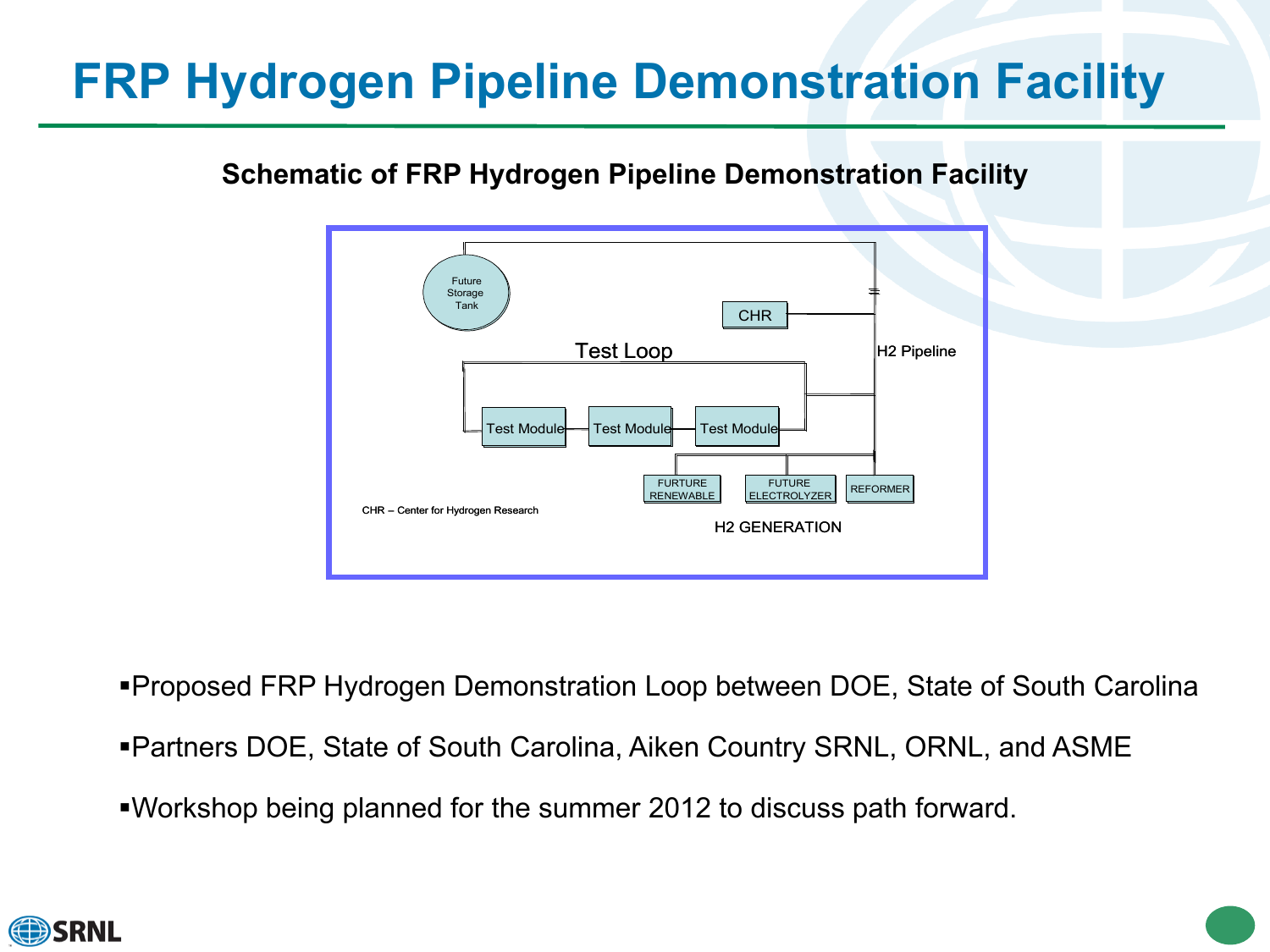# **FRP Hydrogen Pipeline Demonstration Facility**

#### **Schematic of FRP Hydrogen Pipeline Demonstration Facility**



Proposed FRP Hydrogen Demonstration Loop between DOE, State of South Carolina

- Partners DOE, State of South Carolina, Aiken Country SRNL, ORNL, and ASME
- Workshop being planned for the summer 2012 to discuss path forward.

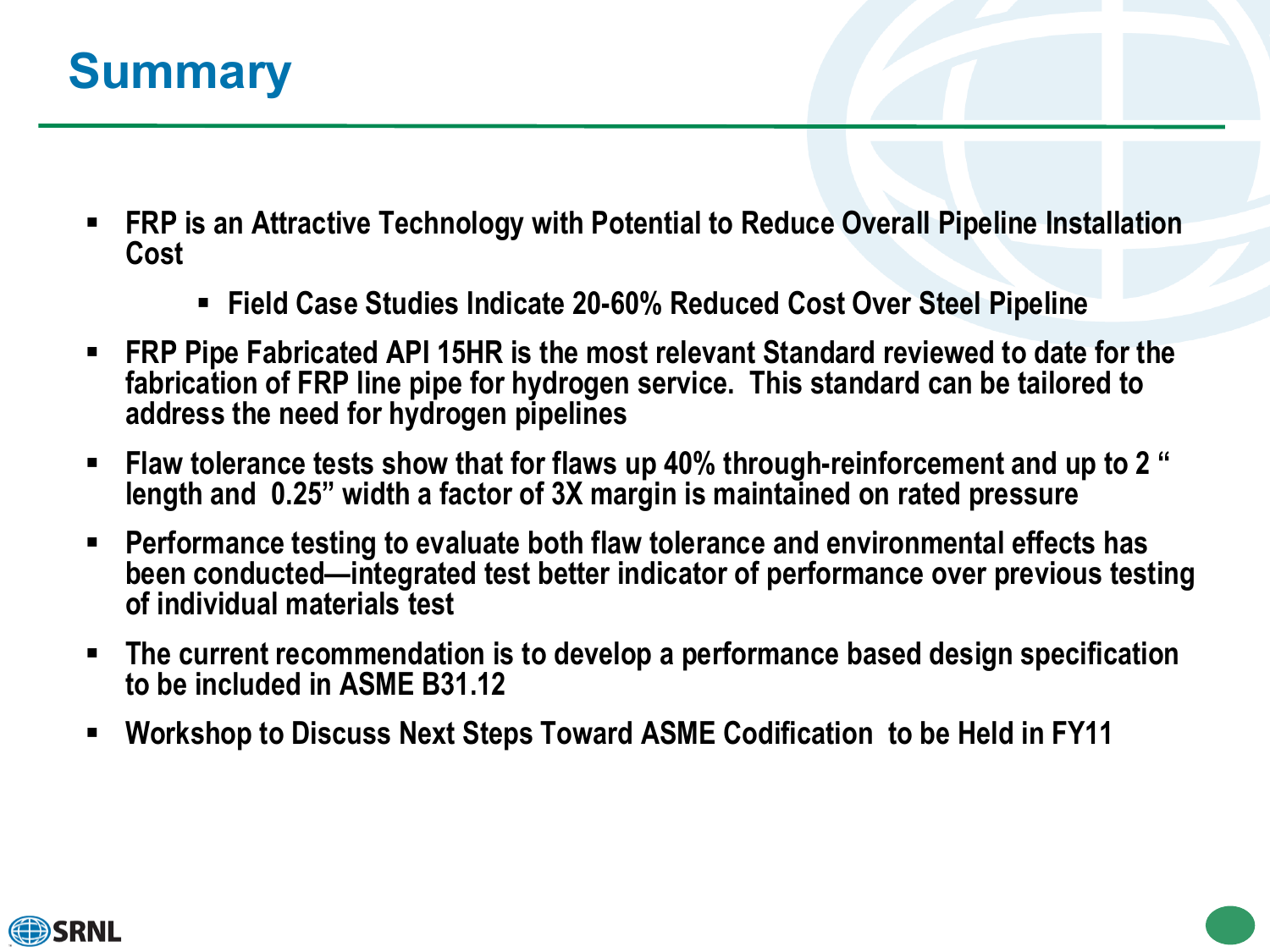### **Summary**

- **FRP is an Attractive Technology with Potential to Reduce Overall Pipeline Installation Cost**
	- **Field Case Studies Indicate 20-60% Reduced Cost Over Steel Pipeline**
- **FRP Pipe Fabricated API 15HR is the most relevant Standard reviewed to date for the fabrication of FRP line pipe for hydrogen service. This standard can be tailored to address the need for hydrogen pipelines**
- **Flaw tolerance tests show that for flaws up 40% through-reinforcement and up to 2 " length and 0.25" width a factor of 3X margin is maintained on rated pressure**
- **Performance testing to evaluate both flaw tolerance and environmental effects has been conducted—integrated test better indicator of performance over previous testing of individual materials test**
- **The current recommendation is to develop a performance based design specification to be included in ASME B31.12**
- **Workshop to Discuss Next Steps Toward ASME Codification to be Held in FY11**